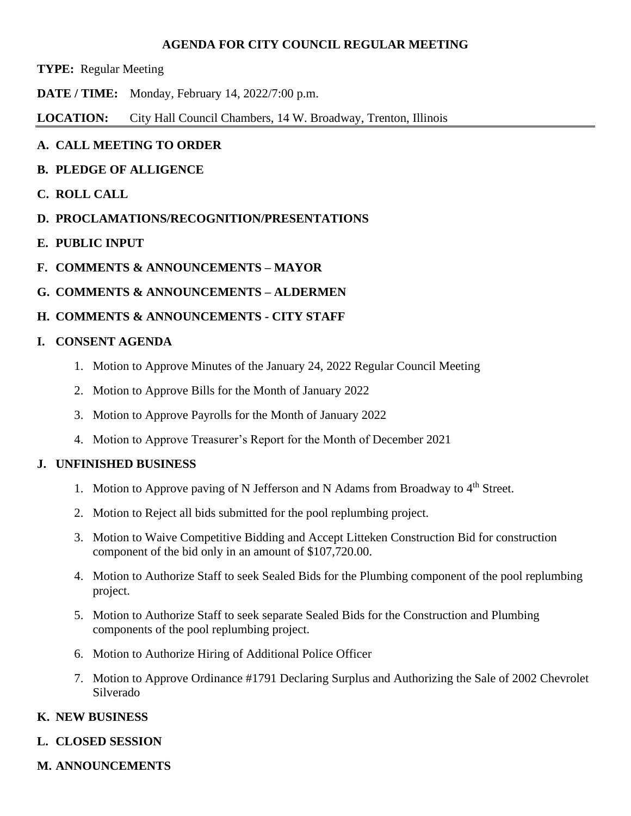#### **AGENDA FOR CITY COUNCIL REGULAR MEETING**

- **TYPE:** Regular Meeting
- **DATE / TIME:** Monday, February 14, 2022/7:00 p.m.

**LOCATION:** City Hall Council Chambers, 14 W. Broadway, Trenton, Illinois

### **A. CALL MEETING TO ORDER**

- **B. PLEDGE OF ALLIGENCE**
- **C. ROLL CALL**
- **D. PROCLAMATIONS/RECOGNITION/PRESENTATIONS**
- **E. PUBLIC INPUT**
- **F. COMMENTS & ANNOUNCEMENTS – MAYOR**
- **G. COMMENTS & ANNOUNCEMENTS – ALDERMEN**

## **H. COMMENTS & ANNOUNCEMENTS - CITY STAFF**

### **I. CONSENT AGENDA**

- 1. Motion to Approve Minutes of the January 24, 2022 Regular Council Meeting
- 2. Motion to Approve Bills for the Month of January 2022
- 3. Motion to Approve Payrolls for the Month of January 2022
- 4. Motion to Approve Treasurer's Report for the Month of December 2021

### **J. UNFINISHED BUSINESS**

- 1. Motion to Approve paving of N Jefferson and N Adams from Broadway to 4<sup>th</sup> Street.
- 2. Motion to Reject all bids submitted for the pool replumbing project.
- 3. Motion to Waive Competitive Bidding and Accept Litteken Construction Bid for construction component of the bid only in an amount of \$107,720.00.
- 4. Motion to Authorize Staff to seek Sealed Bids for the Plumbing component of the pool replumbing project.
- 5. Motion to Authorize Staff to seek separate Sealed Bids for the Construction and Plumbing components of the pool replumbing project.
- 6. Motion to Authorize Hiring of Additional Police Officer
- 7. Motion to Approve Ordinance #1791 Declaring Surplus and Authorizing the Sale of 2002 Chevrolet Silverado

# **K. NEW BUSINESS**

### **L. CLOSED SESSION**

**M. ANNOUNCEMENTS**